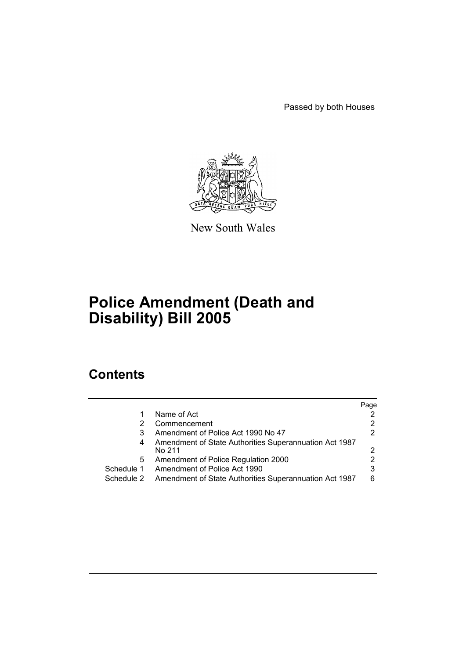Passed by both Houses



New South Wales

# **Police Amendment (Death and Disability) Bill 2005**

## **Contents**

|            |                                                                  | Page |
|------------|------------------------------------------------------------------|------|
|            | Name of Act                                                      |      |
|            | Commencement                                                     |      |
| 3          | Amendment of Police Act 1990 No 47                               |      |
| 4          | Amendment of State Authorities Superannuation Act 1987<br>No 211 |      |
| 5          | Amendment of Police Regulation 2000                              |      |
| Schedule 1 | Amendment of Police Act 1990                                     | 3    |
| Schedule 2 | Amendment of State Authorities Superannuation Act 1987           | 6    |
|            |                                                                  |      |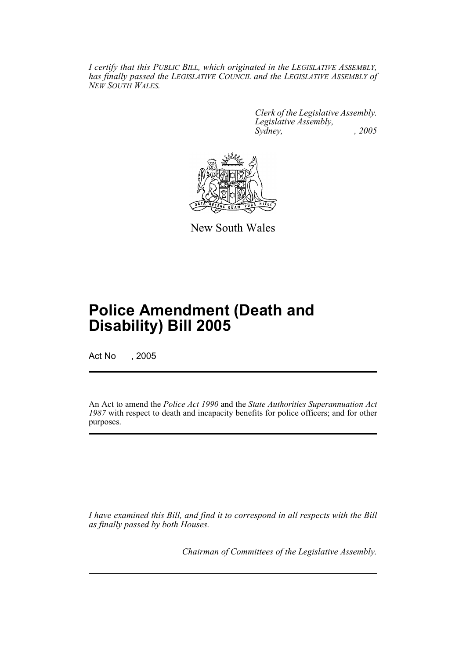*I certify that this PUBLIC BILL, which originated in the LEGISLATIVE ASSEMBLY, has finally passed the LEGISLATIVE COUNCIL and the LEGISLATIVE ASSEMBLY of NEW SOUTH WALES.*

> *Clerk of the Legislative Assembly. Legislative Assembly, Sydney, , 2005*



New South Wales

## **Police Amendment (Death and Disability) Bill 2005**

Act No , 2005

An Act to amend the *Police Act 1990* and the *State Authorities Superannuation Act 1987* with respect to death and incapacity benefits for police officers; and for other purposes.

*I have examined this Bill, and find it to correspond in all respects with the Bill as finally passed by both Houses.*

*Chairman of Committees of the Legislative Assembly.*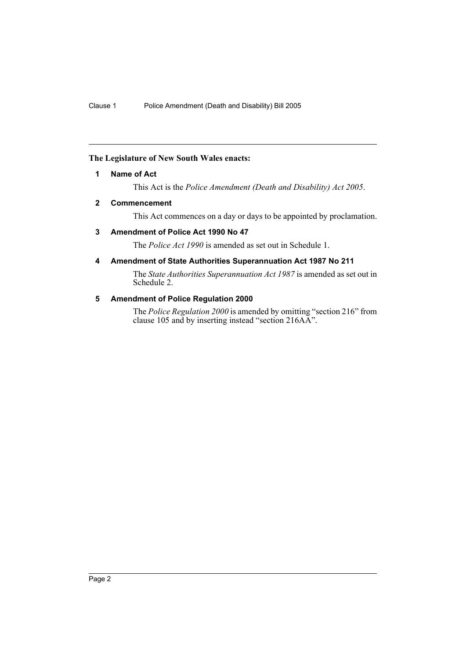#### **The Legislature of New South Wales enacts:**

#### **1 Name of Act**

This Act is the *Police Amendment (Death and Disability) Act 2005*.

#### **2 Commencement**

This Act commences on a day or days to be appointed by proclamation.

#### **3 Amendment of Police Act 1990 No 47**

The *Police Act 1990* is amended as set out in Schedule 1.

#### **4 Amendment of State Authorities Superannuation Act 1987 No 211**

The *State Authorities Superannuation Act 1987* is amended as set out in Schedule 2.

#### **5 Amendment of Police Regulation 2000**

The *Police Regulation 2000* is amended by omitting "section 216" from clause 105 and by inserting instead "section 216AA".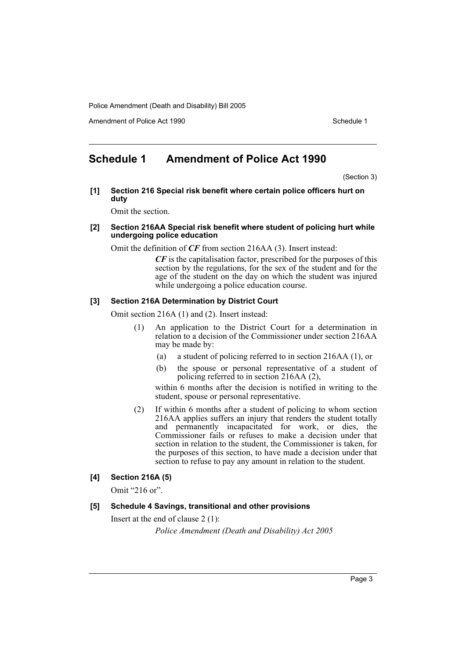Amendment of Police Act 1990 **Schedule 1** and the Schedule 1

## **Schedule 1 Amendment of Police Act 1990**

(Section 3)

**[1] Section 216 Special risk benefit where certain police officers hurt on duty**

Omit the section.

#### **[2] Section 216AA Special risk benefit where student of policing hurt while undergoing police education**

Omit the definition of *CF* from section 216AA (3). Insert instead:

*CF* is the capitalisation factor, prescribed for the purposes of this section by the regulations, for the sex of the student and for the age of the student on the day on which the student was injured while undergoing a police education course.

#### **[3] Section 216A Determination by District Court**

Omit section 216A (1) and (2). Insert instead:

- (1) An application to the District Court for a determination in relation to a decision of the Commissioner under section 216AA may be made by:
	- (a) a student of policing referred to in section 216AA (1), or
	- (b) the spouse or personal representative of a student of policing referred to in section 216AA (2),

within 6 months after the decision is notified in writing to the student, spouse or personal representative.

(2) If within 6 months after a student of policing to whom section 216AA applies suffers an injury that renders the student totally and permanently incapacitated for work, or dies, the Commissioner fails or refuses to make a decision under that section in relation to the student, the Commissioner is taken, for the purposes of this section, to have made a decision under that section to refuse to pay any amount in relation to the student.

#### **[4] Section 216A (5)**

Omit "216 or".

#### **[5] Schedule 4 Savings, transitional and other provisions**

Insert at the end of clause 2 (1):

*Police Amendment (Death and Disability) Act 2005*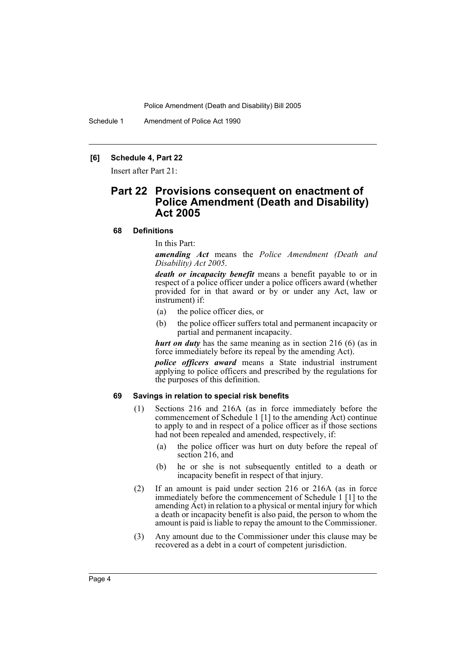Schedule 1 Amendment of Police Act 1990

#### **[6] Schedule 4, Part 22**

Insert after Part 21:

## **Part 22 Provisions consequent on enactment of Police Amendment (Death and Disability) Act 2005**

#### **68 Definitions**

In this Part:

*amending Act* means the *Police Amendment (Death and Disability) Act 2005*.

*death or incapacity benefit* means a benefit payable to or in respect of a police officer under a police officers award (whether provided for in that award or by or under any Act, law or instrument) if:

- (a) the police officer dies, or
- (b) the police officer suffers total and permanent incapacity or partial and permanent incapacity.

*hurt on duty* has the same meaning as in section 216 (6) (as in force immediately before its repeal by the amending Act).

*police officers award* means a State industrial instrument applying to police officers and prescribed by the regulations for the purposes of this definition.

#### **69 Savings in relation to special risk benefits**

- (1) Sections 216 and 216A (as in force immediately before the commencement of Schedule 1 [1] to the amending Act) continue to apply to and in respect of a police officer as if those sections had not been repealed and amended, respectively, if:
	- (a) the police officer was hurt on duty before the repeal of section 216, and
	- (b) he or she is not subsequently entitled to a death or incapacity benefit in respect of that injury.
- (2) If an amount is paid under section 216 or 216A (as in force immediately before the commencement of Schedule 1 [1] to the amending Act) in relation to a physical or mental injury for which a death or incapacity benefit is also paid, the person to whom the amount is paid is liable to repay the amount to the Commissioner.
- (3) Any amount due to the Commissioner under this clause may be recovered as a debt in a court of competent jurisdiction.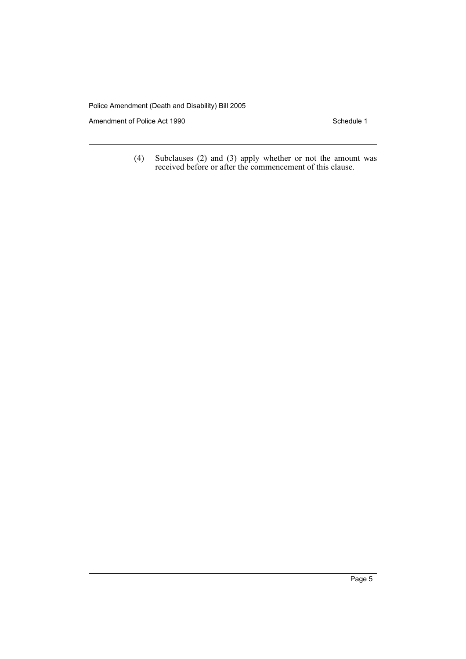Amendment of Police Act 1990 Schedule 1

(4) Subclauses (2) and (3) apply whether or not the amount was received before or after the commencement of this clause.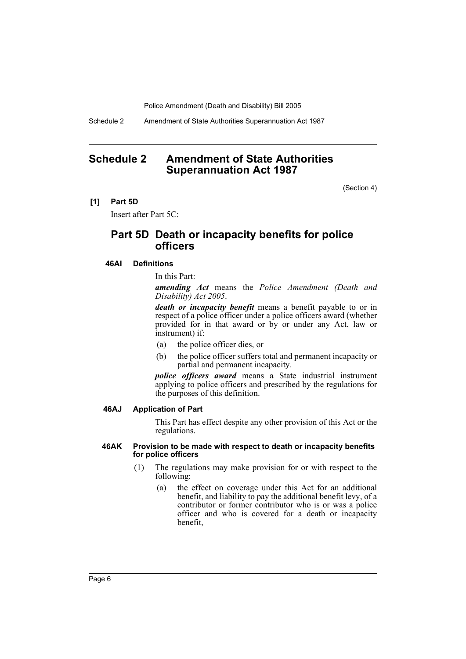Schedule 2 Amendment of State Authorities Superannuation Act 1987

## **Schedule 2 Amendment of State Authorities Superannuation Act 1987**

(Section 4)

#### **[1] Part 5D**

Insert after Part 5C:

### **Part 5D Death or incapacity benefits for police officers**

#### **46AI Definitions**

In this Part:

*amending Act* means the *Police Amendment (Death and Disability) Act 2005*.

*death or incapacity benefit* means a benefit payable to or in respect of a police officer under a police officers award (whether provided for in that award or by or under any Act, law or instrument) if:

- (a) the police officer dies, or
- (b) the police officer suffers total and permanent incapacity or partial and permanent incapacity.

*police officers award* means a State industrial instrument applying to police officers and prescribed by the regulations for the purposes of this definition.

#### **46AJ Application of Part**

This Part has effect despite any other provision of this Act or the regulations.

#### **46AK Provision to be made with respect to death or incapacity benefits for police officers**

- (1) The regulations may make provision for or with respect to the following:
	- (a) the effect on coverage under this Act for an additional benefit, and liability to pay the additional benefit levy, of a contributor or former contributor who is or was a police officer and who is covered for a death or incapacity benefit,